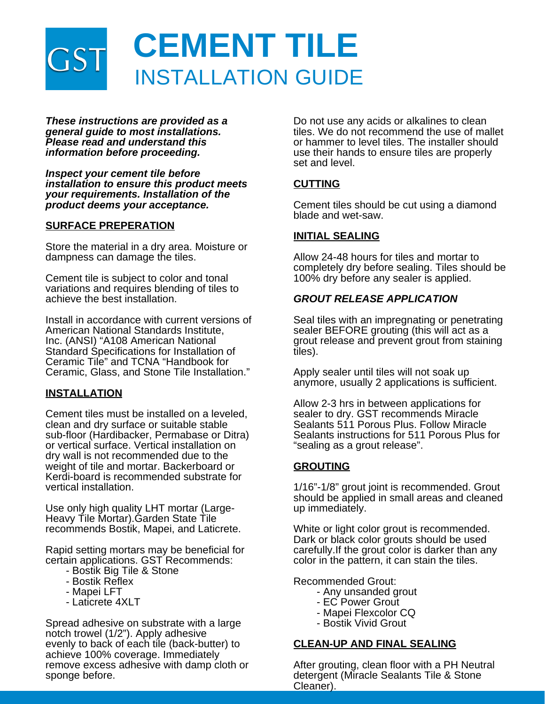

*These instructions are provided as a general guide to most installations. Please read and understand this information before proceeding.*

*Inspect your cement tile before installation to ensure this product meets your requirements. Installation of the product deems your acceptance.*

### **SURFACE PREPERATION**

Store the material in a dry area. Moisture or dampness can damage the tiles.

Cement tile is subject to color and tonal variations and requires blending of tiles to achieve the best installation.

Install in accordance with current versions of American National Standards Institute, Inc. (ANSI) "A108 American National Standard Specifications for Installation of Ceramic Tile" and TCNA "Handbook for Ceramic, Glass, and Stone Tile Installation."

#### **INSTALLATION**

Cement tiles must be installed on a leveled, clean and dry surface or suitable stable sub-floor (Hardibacker, Permabase or Ditra) or vertical surface. Vertical installation on dry wall is not recommended due to the weight of tile and mortar. Backerboard or Kerdi-board is recommended substrate for vertical installation.

Use only high quality LHT mortar (Large-Heavy Tile Mortar).Garden State Tile recommends Bostik, Mapei, and Laticrete.

Rapid setting mortars may be beneficial for certain applications. GST Recommends:

- Bostik Big Tile & Stone
- Bostik Reflex
- Mapei LFT
- Laticrete 4XLT

Spread adhesive on substrate with a large notch trowel (1/2"). Apply adhesive evenly to back of each tile (back-butter) to achieve 100% coverage. Immediately remove excess adhesive with damp cloth or sponge before.

Do not use any acids or alkalines to clean tiles. We do not recommend the use of mallet or hammer to level tiles. The installer should use their hands to ensure tiles are properly set and level.

# **CUTTING**

Cement tiles should be cut using a diamond blade and wet-saw.

### **INITIAL SEALING**

Allow 24-48 hours for tiles and mortar to completely dry before sealing. Tiles should be 100% dry before any sealer is applied.

## *GROUT RELEASE APPLICATION*

Seal tiles with an impregnating or penetrating sealer BEFORE grouting (this will act as a grout release and prevent grout from staining tiles).

Apply sealer until tiles will not soak up anymore, usually 2 applications is sufficient.

Allow 2-3 hrs in between applications for sealer to dry. GST recommends Miracle Sealants 511 Porous Plus. Follow Miracle Sealants instructions for 511 Porous Plus for "sealing as a grout release".

## **GROUTING**

1/16"-1/8" grout joint is recommended. Grout should be applied in small areas and cleaned up immediately.

White or light color grout is recommended. Dark or black color grouts should be used carefully.If the grout color is darker than any color in the pattern, it can stain the tiles.

Recommended Grout:

- Any unsanded grout
- EC Power Grout
- Mapei Flexcolor CQ
- Bostik Vivid Grout

## **CLEAN-UP AND FINAL SEALING**

After grouting, clean floor with a PH Neutral detergent (Miracle Sealants Tile & Stone Cleaner).